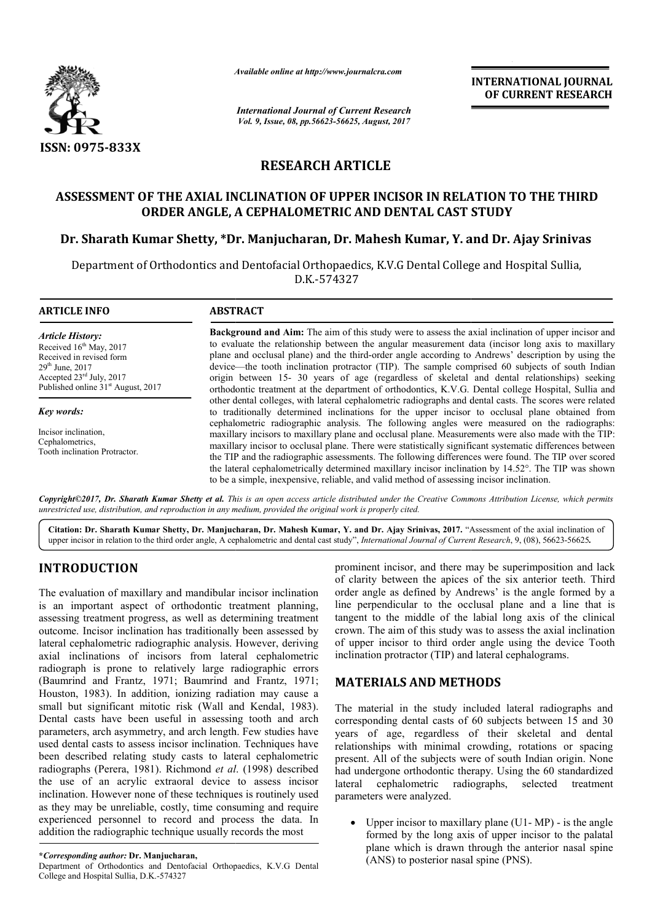

*Available online at http://www.journal http://www.journalcra.com*

*International Journal of Current Research Vol. 9, Issue, 08, pp.56623-56625, August, 2017* **INTERNATIONAL JOURNAL OF CURRENT RESEARCH** 

## **RESEARCH ARTICLE**

# **ASSESSMENT OF THE AXIAL INCLINATION OF UPPER INCISOR IN RELATION TO THE THIRD ORDER ANGLE, A CEPHALOMETRIC AND DENTAL CAST STUDY NSSESSMENT OF THE AXIAL INCLINATION OF UPPER INCISOR IN RELATION TO THE THIRD ORDER ANGLE, A CEPHALOMETRIC AND DENTAL CAST STUDY<br>Dr. Sharath Kumar Shetty, \*Dr. Manjucharan, Dr. Mahesh Kumar, Y. and Dr. Ajay Srinivas**

Department of Orthodontics and Dentofacial Orthopaedics, K.V.G Dental College and Hospital Sullia, D.K.-574327

#### **ARTICLE INFO ABSTRACT**

*Article History:* Received 16<sup>th</sup> May, 2017 Received in revised form  $29<sup>th</sup>$  June,  $2017$ Accepted 23rd July, 2017 Published online 31<sup>st</sup> August, 2017

*Key words:*

Incisor inclination, Cephalometrics, Tooth inclination Protractor.

**Background and Aim:** The aim of this study were to assess the axial inclination of upper incisor and to evaluate the relationship between the angular measurement data (incisor long axis to maxillary to evaluate the relationship between the angular measurement data (incisor long axis to maxillary plane and occlusal plane) and the third-order angle according to Andrews' description by using the device— —the tooth inclination protractor (TIP). The sample comprised 60 subjects of south Indian origin between 15 15- 30 years of age (regardless of skeletal and dental relationships) seeking orthodontic treatment at the department of orthodontics, K.V.G. Dental college Hospital, Sullia and other dental colleges, with lateral cephalometric radiographs and dental casts. The scores were related to traditionally determined inclinations for the upper incisor to occlusal plane obtained from cephalometric radiographic analysis. The following angles were measured on the radiographs: maxillary incisors to maxillary plane and occlusal plane. Measurements were also made with the TIP: maxillary incisor to occlusal plane. There were statistically significant systematic differences between the TIP and the radiographic assessments. The following differences were found. the lateral cephalometrically determined maxillary incisor inclination by 14.52°. The TIP was shown to be a simple, inexpensive, reliable, and valid method of assessing incisor inclination. phalometric radiographic analysis. The following angles were measured on the radiographs:<br>axillary incisors to maxillary plane and occlusal plane. Measurements were also made with the TIP:<br>axillary incisor to occlusal plan device—the tooth inclination protractor (TIP). The sample comprised 60 subjects of south Indian origin between 15- 30 years of age (regardless of skeletal and dental relationships) seeking orthodontic treatment at the depa INTERNATIONAL JOURNAL<br>
OF CURRENT RESEARCH<br>
OF CURRENT RESEARCH<br>
CONT STUDY<br>
THE THIRD<br>
L CAST STUDY<br>
Mar, Y. and Dr. Ajay Srinivas<br>
tatal College and Hospital Sullia,<br>
sasses the axial inclination of upper incisor answer<br>

Copyright©2017, Dr. Sharath Kumar Shetty et al. This is an open access article distributed under the Creative Commons Attribution License, which permits *unrestricted use, distribution, and reproduction in any medium, provided the original work is properly cited.*

Citation: Dr. Sharath Kumar Shetty, Dr. Manjucharan, Dr. Mahesh Kumar, Y. and Dr. Ajay Srinivas, 2017. "Assessment of the axial inclination of upper incisor in relation to the third order angle, A cephalometric and dental cast study", *International Journal of Current Research*, 9, (08), 56623-56625.

## **INTRODUCTION**

The evaluation of maxillary and mandibular incisor inclination is an important aspect of orthodontic treatment planning, assessing treatment progress, as well as determining treatment outcome. Incisor inclination has traditionally been assessed by lateral cephalometric radiographic analysis. However, deriving axial inclinations of incisors from lateral cephalometric radiograph is prone to relatively large radiographic errors (Baumrind and Frantz, 1971; Baumrind and Frantz, 1971; Houston, 1983). In addition, ionizing radiation may cause a Houston, 1983). In addition, ionizing radiation may cause a<br>small but significant mitotic risk (Wall and Kendal, 1983). Dental casts have been useful in assessing tooth and arch parameters, arch asymmetry, and arch length. Few studies have used dental casts to assess incisor inclination. Techniques have been described relating study casts to lateral cephalometric been described relating study casts to lateral cephalometric<br>radiographs (Perera, 1981). Richmond *et al.* (1998) described the use of an acrylic extraoral device to assess incisor inclination. However none of these techniques is routinely used as they may be unreliable, costly, time consuming and require experienced personnel to record and process the data. In addition the radiographic technique usually records the most **RODUCTION**<br>
prominent incisor, and there may be superimp<br>
revaluation of maxillary and mandibular incisor inclination<br>
order angle as defined by Andrews' is the an<br>
important aspects of the six antes are incorded by Andr

of clarity between the apices of the six anterior teeth. Third order angle as defined by Andrews' is the angle formed by a line perpendicular to the occlusal plane and a line that is order angle as defined by Andrews' is the angle formed by a line perpendicular to the occlusal plane and a line that is tangent to the middle of the labial long axis of the clinical crown. The aim of this study was to assess the axial inclination of upper incisor to third order angle using the device Tooth inclination protractor (TIP) and lateral cephalograms. prominent incisor, and there may be superimposition and lack aim of this study was to assess the axial<br>cisor to third order angle using the de-<br>protractor (TIP) and lateral cephalograms

## **MATERIALS AND METHODS METHODS**

The material in the study included lateral lateral radiographs and corresponding dental casts of 60 subjects between 15 and 30 years of age, regardless of their skeletal and dental relationships with minimal crowding, rotations or spacing present. All of the subjects were of south Indian origin. None corresponding dental casts of 60 subjects between 15 and 30 years of age, regardless of their skeletal and dental relationships with minimal crowding, rotations or spacing present. All of the subjects were of south Indian lateral cephalometric radiographs, selected treatment parameters were analyzed. lateral cephalometric radiographs, selected treatment<br>parameters were analyzed.<br>• Upper incisor to maxillary plane (U1- MP) - is the angle

formed by the long axis of upper incisor to the palatal plane which is drawn through the anterior nasal spine (ANS) to posterior nasal spine (PNS).

Department of Orthodontics and Dentofacial Orthopaedics, K.V.G Dental College and Hospital Sullia, D.K.-574327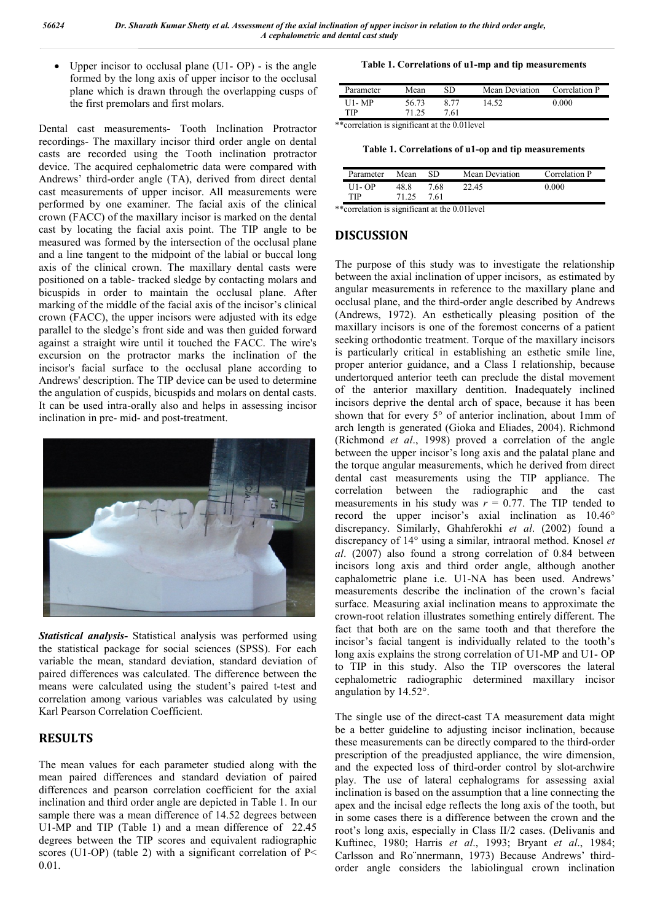Upper incisor to occlusal plane (U1- OP) - is the angle formed by the long axis of upper incisor to the occlusal plane which is drawn through the overlapping cusps of the first premolars and first molars.

Dental cast measurements**-** Tooth Inclination Protractor recordings- The maxillary incisor third order angle on dental casts are recorded using the Tooth inclination protractor device. The acquired cephalometric data were compared with Andrews' third-order angle (TA), derived from direct dental cast measurements of upper incisor. All measurements were performed by one examiner. The facial axis of the clinical crown (FACC) of the maxillary incisor is marked on the dental cast by locating the facial axis point. The TIP angle to be measured was formed by the intersection of the occlusal plane and a line tangent to the midpoint of the labial or buccal long axis of the clinical crown. The maxillary dental casts were positioned on a table- tracked sledge by contacting molars and bicuspids in order to maintain the occlusal plane. After marking of the middle of the facial axis of the incisor's clinical crown (FACC), the upper incisors were adjusted with its edge parallel to the sledge's front side and was then guided forward against a straight wire until it touched the FACC. The wire's excursion on the protractor marks the inclination of the incisor's facial surface to the occlusal plane according to Andrews' description. The TIP device can be used to determine the angulation of cuspids, bicuspids and molars on dental casts. It can be used intra-orally also and helps in assessing incisor inclination in pre- mid- and post-treatment.



*Statistical analysis***-** Statistical analysis was performed using the statistical package for social sciences (SPSS). For each variable the mean, standard deviation, standard deviation of paired differences was calculated. The difference between the means were calculated using the student's paired t-test and correlation among various variables was calculated by using Karl Pearson Correlation Coefficient.

## **RESULTS**

The mean values for each parameter studied along with the mean paired differences and standard deviation of paired differences and pearson correlation coefficient for the axial inclination and third order angle are depicted in Table 1. In our sample there was a mean difference of 14.52 degrees between U1-MP and TIP (Table 1) and a mean difference of 22.45 degrees between the TIP scores and equivalent radiographic scores (U1-OP) (table 2) with a significant correlation of  $P<$ 0.01.

**Table 1. Correlations of u1-mp and tip measurements**

| Parameter | Mean  | SD.  | Mean Deviation | Correlation P |
|-----------|-------|------|----------------|---------------|
| U1- MP    | 56.73 | 8 77 | 14.52          | 0.000         |
| TIP       | 71.25 | 7.61 |                |               |

\*\*correlation is significant at the 0.01level

**Table 1. Correlations of u1-op and tip measurements**

| Parameter | Mean  | SD   | Mean Deviation | Correlation P |
|-----------|-------|------|----------------|---------------|
| $U1 - OP$ | 48.8  | 7.68 | 22.45          | 0.000         |
| TIP       | 71 25 | 761  |                |               |

\*\*correlation is significant at the 0.01level

### **DISCUSSION**

The purpose of this study was to investigate the relationship between the axial inclination of upper incisors, as estimated by angular measurements in reference to the maxillary plane and occlusal plane, and the third-order angle described by Andrews (Andrews, 1972). An esthetically pleasing position of the maxillary incisors is one of the foremost concerns of a patient seeking orthodontic treatment. Torque of the maxillary incisors is particularly critical in establishing an esthetic smile line, proper anterior guidance, and a Class I relationship, because undertorqued anterior teeth can preclude the distal movement of the anterior maxillary dentition. Inadequately inclined incisors deprive the dental arch of space, because it has been shown that for every 5° of anterior inclination, about 1mm of arch length is generated (Gioka and Eliades, 2004). Richmond (Richmond *et al*., 1998) proved a correlation of the angle between the upper incisor's long axis and the palatal plane and the torque angular measurements, which he derived from direct dental cast measurements using the TIP appliance. The correlation between the radiographic and the cast measurements in his study was  $r = 0.77$ . The TIP tended to record the upper incisor's axial inclination as 10.46° discrepancy. Similarly, Ghahferokhi *et al*. (2002) found a discrepancy of 14° using a similar, intraoral method. Knosel *et al*. (2007) also found a strong correlation of 0.84 between incisors long axis and third order angle, although another caphalometric plane i.e. U1-NA has been used. Andrews' measurements describe the inclination of the crown's facial surface. Measuring axial inclination means to approximate the crown-root relation illustrates something entirely different. The fact that both are on the same tooth and that therefore the incisor's facial tangent is individually related to the tooth's long axis explains the strong correlation of U1-MP and U1- OP to TIP in this study. Also the TIP overscores the lateral cephalometric radiographic determined maxillary incisor angulation by 14.52°.

The single use of the direct-cast TA measurement data might be a better guideline to adjusting incisor inclination, because these measurements can be directly compared to the third-order prescription of the preadjusted appliance, the wire dimension, and the expected loss of third-order control by slot-archwire play. The use of lateral cephalograms for assessing axial inclination is based on the assumption that a line connecting the apex and the incisal edge reflects the long axis of the tooth, but in some cases there is a difference between the crown and the root's long axis, especially in Class II/2 cases. (Delivanis and Kuftinec, 1980; Harris *et al*., 1993; Bryant *et al*., 1984; Carlsson and Ro¨nnermann, 1973) Because Andrews' thirdorder angle considers the labiolingual crown inclination